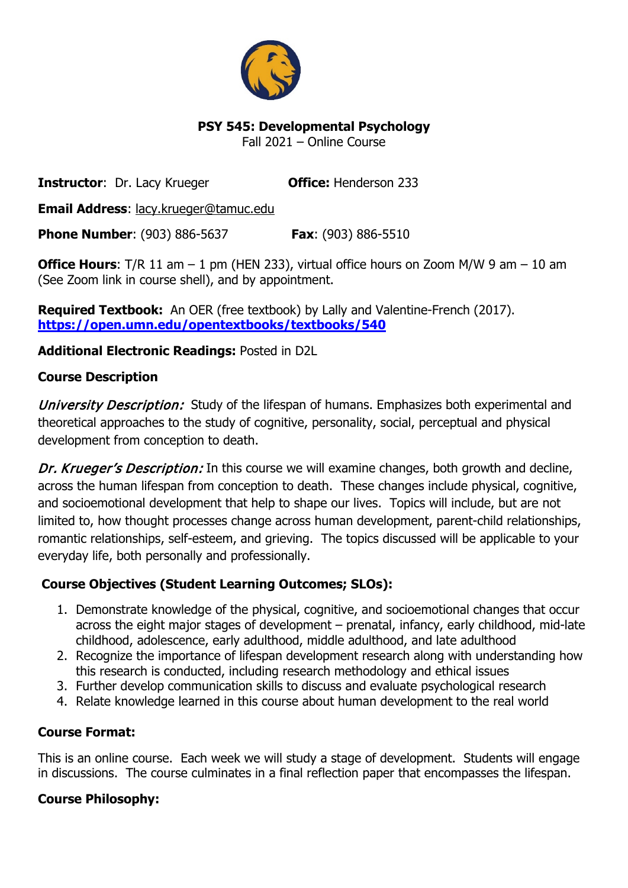

# **PSY 545: Developmental Psychology**

Fall 2021 – Online Course

**Instructor:** Dr. Lacy Krueger **Office:** Henderson 233

**Email Address**: lacy.krueger@tamuc.edu

**Phone Number**: (903) 886-5637 **Fax**: (903) 886-5510

**Office Hours:** T/R 11 am – 1 pm (HEN 233), virtual office hours on Zoom M/W 9 am – 10 am (See Zoom link in course shell), and by appointment.

**Required Textbook:** An OER (free textbook) by Lally and Valentine-French (2017). **<https://open.umn.edu/opentextbooks/textbooks/540>**

# **Additional Electronic Readings:** Posted in D2L

# **Course Description**

University Description: Study of the lifespan of humans. Emphasizes both experimental and theoretical approaches to the study of cognitive, personality, social, perceptual and physical development from conception to death.

Dr. Krueger's Description: In this course we will examine changes, both growth and decline, across the human lifespan from conception to death. These changes include physical, cognitive, and socioemotional development that help to shape our lives. Topics will include, but are not limited to, how thought processes change across human development, parent-child relationships, romantic relationships, self-esteem, and grieving. The topics discussed will be applicable to your everyday life, both personally and professionally.

# **Course Objectives (Student Learning Outcomes; SLOs):**

- 1. Demonstrate knowledge of the physical, cognitive, and socioemotional changes that occur across the eight major stages of development – prenatal, infancy, early childhood, mid-late childhood, adolescence, early adulthood, middle adulthood, and late adulthood
- 2. Recognize the importance of lifespan development research along with understanding how this research is conducted, including research methodology and ethical issues
- 3. Further develop communication skills to discuss and evaluate psychological research
- 4. Relate knowledge learned in this course about human development to the real world

# **Course Format:**

This is an online course. Each week we will study a stage of development. Students will engage in discussions. The course culminates in a final reflection paper that encompasses the lifespan.

# **Course Philosophy:**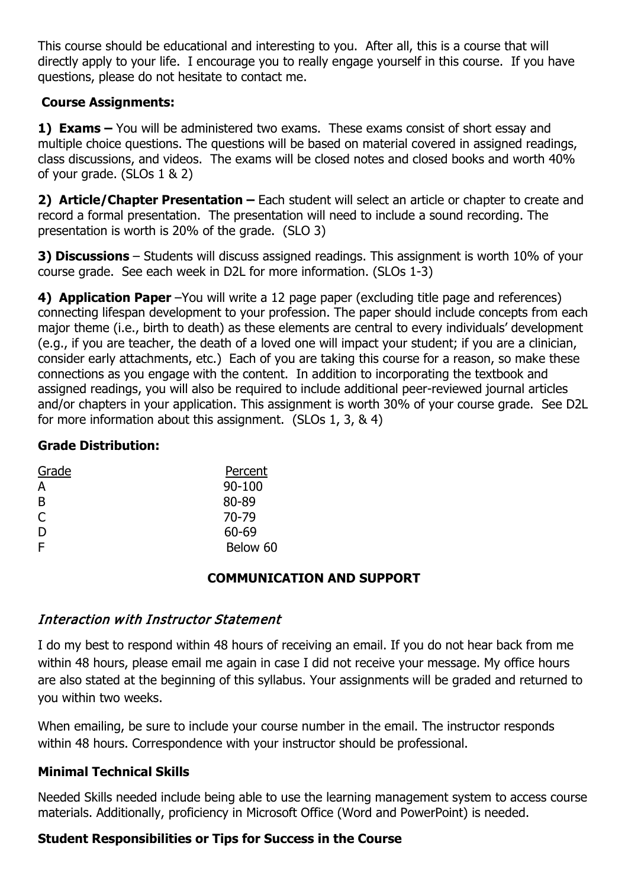This course should be educational and interesting to you. After all, this is a course that will directly apply to your life. I encourage you to really engage yourself in this course. If you have questions, please do not hesitate to contact me.

# **Course Assignments:**

**1) Exams –** You will be administered two exams. These exams consist of short essay and multiple choice questions. The questions will be based on material covered in assigned readings, class discussions, and videos. The exams will be closed notes and closed books and worth 40% of your grade. (SLOs 1 & 2)

**2) Article/Chapter Presentation –** Each student will select an article or chapter to create and record a formal presentation. The presentation will need to include a sound recording. The presentation is worth is 20% of the grade. (SLO 3)

**3) Discussions** – Students will discuss assigned readings. This assignment is worth 10% of your course grade. See each week in D2L for more information. (SLOs 1-3)

**4) Application Paper** –You will write a 12 page paper (excluding title page and references) connecting lifespan development to your profession. The paper should include concepts from each major theme (i.e., birth to death) as these elements are central to every individuals' development (e.g., if you are teacher, the death of a loved one will impact your student; if you are a clinician, consider early attachments, etc.) Each of you are taking this course for a reason, so make these connections as you engage with the content. In addition to incorporating the textbook and assigned readings, you will also be required to include additional peer-reviewed journal articles and/or chapters in your application. This assignment is worth 30% of your course grade. See D2L for more information about this assignment. (SLOs 1, 3, & 4)

#### **Grade Distribution:**

| Grade | Percent    |
|-------|------------|
| A     | $90 - 100$ |
| B     | 80-89      |
| C     | 70-79      |
| D     | 60-69      |
| F     | Below 60   |

### **COMMUNICATION AND SUPPORT**

### Interaction with Instructor Statement

I do my best to respond within 48 hours of receiving an email. If you do not hear back from me within 48 hours, please email me again in case I did not receive your message. My office hours are also stated at the beginning of this syllabus. Your assignments will be graded and returned to you within two weeks.

When emailing, be sure to include your course number in the email. The instructor responds within 48 hours. Correspondence with your instructor should be professional.

### **Minimal Technical Skills**

Needed Skills needed include being able to use the learning management system to access course materials. Additionally, proficiency in Microsoft Office (Word and PowerPoint) is needed.

### **Student Responsibilities or Tips for Success in the Course**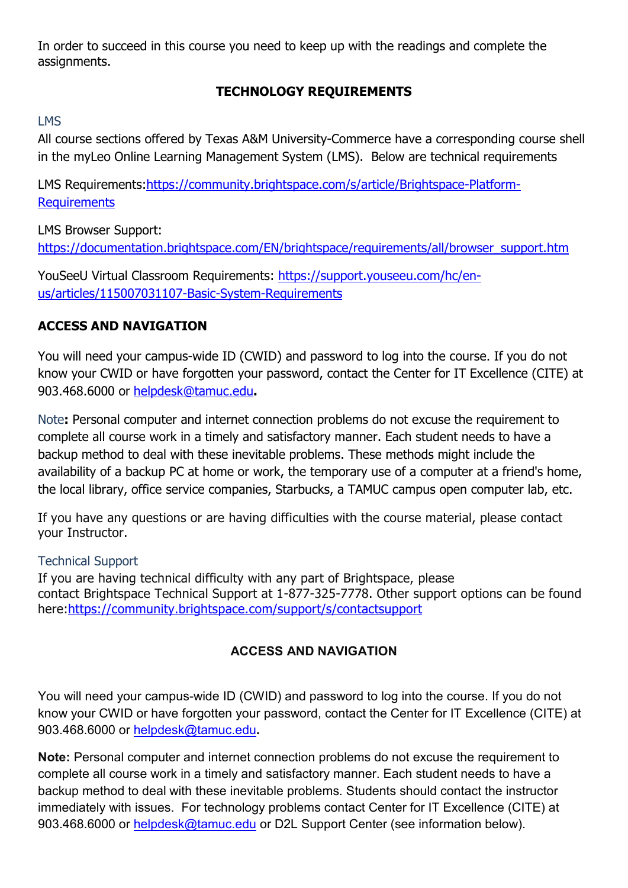In order to succeed in this course you need to keep up with the readings and complete the assignments.

# **TECHNOLOGY REQUIREMENTS**

## LMS

All course sections offered by Texas A&M University-Commerce have a corresponding course shell in the myLeo Online Learning Management System (LMS). Below are technical requirements

LMS Requirements[:https://community.brightspace.com/s/article/Brightspace-Platform-](https://community.brightspace.com/s/article/Brightspace-Platform-Requirements)**[Requirements](https://community.brightspace.com/s/article/Brightspace-Platform-Requirements)** 

LMS Browser Support: [https://documentation.brightspace.com/EN/brightspace/requirements/all/browser\\_support.htm](https://documentation.brightspace.com/EN/brightspace/requirements/all/browser_support.htm)

YouSeeU Virtual Classroom Requirements: [https://support.youseeu.com/hc/en](https://support.youseeu.com/hc/en-us/articles/115007031107-Basic-System-Requirements)[us/articles/115007031107-Basic-System-Requirements](https://support.youseeu.com/hc/en-us/articles/115007031107-Basic-System-Requirements)

# **ACCESS AND NAVIGATION**

You will need your campus-wide ID (CWID) and password to log into the course. If you do not know your CWID or have forgotten your password, contact the Center for IT Excellence (CITE) at 903.468.6000 or [helpdesk@tamuc.edu](mailto:helpdesk@tamuc.edu)**.**

Note**:** Personal computer and internet connection problems do not excuse the requirement to complete all course work in a timely and satisfactory manner. Each student needs to have a backup method to deal with these inevitable problems. These methods might include the availability of a backup PC at home or work, the temporary use of a computer at a friend's home, the local library, office service companies, Starbucks, a TAMUC campus open computer lab, etc.

If you have any questions or are having difficulties with the course material, please contact your Instructor.

### Technical Support

If you are having technical difficulty with any part of Brightspace, please contact Brightspace Technical Support at 1-877-325-7778. Other support options can be found here[:https://community.brightspace.com/support/s/contactsupport](https://community.brightspace.com/support/s/contactsupport) 

# **ACCESS AND NAVIGATION**

You will need your campus-wide ID (CWID) and password to log into the course. If you do not know your CWID or have forgotten your password, contact the Center for IT Excellence (CITE) at 903.468.6000 or [helpdesk@tamuc.edu](mailto:helpdesk@tamuc.edu)**.**

**Note:** Personal computer and internet connection problems do not excuse the requirement to complete all course work in a timely and satisfactory manner. Each student needs to have a backup method to deal with these inevitable problems. Students should contact the instructor immediately with issues. For technology problems contact Center for IT Excellence (CITE) at 903.468.6000 or [helpdesk@tamuc.edu](mailto:helpdesk@tamuc.edu) or D2L Support Center (see information below).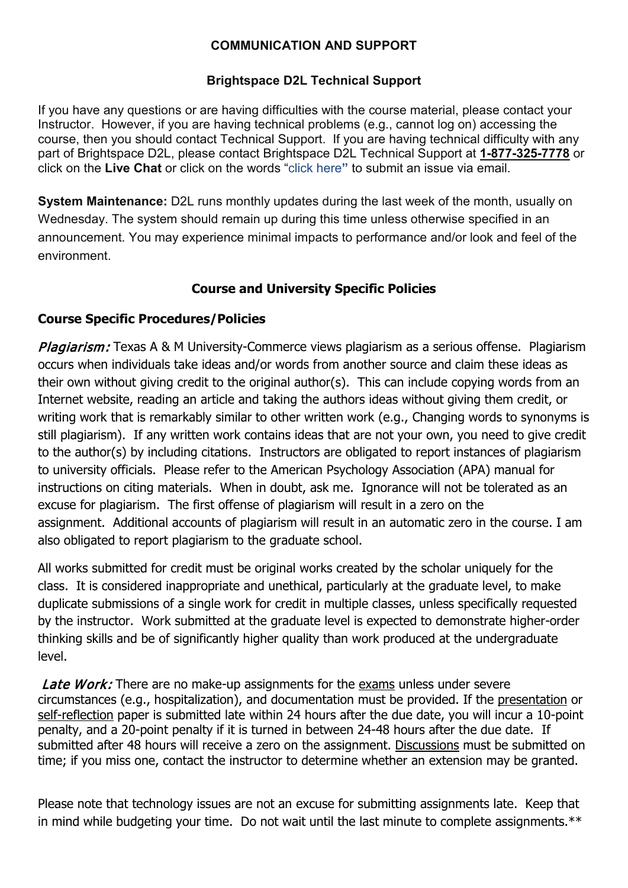### **COMMUNICATION AND SUPPORT**

# **Brightspace D2L Technical Support**

If you have any questions or are having difficulties with the course material, please contact your Instructor. However, if you are having technical problems (e.g., cannot log on) accessing the course, then you should contact Technical Support. If you are having technical difficulty with any part of Brightspace D2L, please contact Brightspace D2L Technical Support at **1-877-325-7778** or click on the **Live Chat** or click on the words "click here**"** to submit an issue via email.

**System Maintenance:** D2L runs monthly updates during the last week of the month, usually on Wednesday. The system should remain up during this time unless otherwise specified in an announcement. You may experience minimal impacts to performance and/or look and feel of the environment.

# **Course and University Specific Policies**

### **Course Specific Procedures/Policies**

Plagiarism: Texas A & M University-Commerce views plagiarism as a serious offense. Plagiarism occurs when individuals take ideas and/or words from another source and claim these ideas as their own without giving credit to the original author(s). This can include copying words from an Internet website, reading an article and taking the authors ideas without giving them credit, or writing work that is remarkably similar to other written work (e.g., Changing words to synonyms is still plagiarism). If any written work contains ideas that are not your own, you need to give credit to the author(s) by including citations. Instructors are obligated to report instances of plagiarism to university officials. Please refer to the American Psychology Association (APA) manual for instructions on citing materials. When in doubt, ask me. Ignorance will not be tolerated as an excuse for plagiarism. The first offense of plagiarism will result in a zero on the assignment. Additional accounts of plagiarism will result in an automatic zero in the course. I am also obligated to report plagiarism to the graduate school.

All works submitted for credit must be original works created by the scholar uniquely for the class. It is considered inappropriate and unethical, particularly at the graduate level, to make duplicate submissions of a single work for credit in multiple classes, unless specifically requested by the instructor. Work submitted at the graduate level is expected to demonstrate higher-order thinking skills and be of significantly higher quality than work produced at the undergraduate level.

**Late Work:** There are no make-up assignments for the exams unless under severe circumstances (e.g., hospitalization), and documentation must be provided. If the presentation or self-reflection paper is submitted late within 24 hours after the due date, you will incur a 10-point penalty, and a 20-point penalty if it is turned in between 24-48 hours after the due date. If submitted after 48 hours will receive a zero on the assignment. Discussions must be submitted on time; if you miss one, contact the instructor to determine whether an extension may be granted.

Please note that technology issues are not an excuse for submitting assignments late. Keep that in mind while budgeting your time. Do not wait until the last minute to complete assignments.\*\*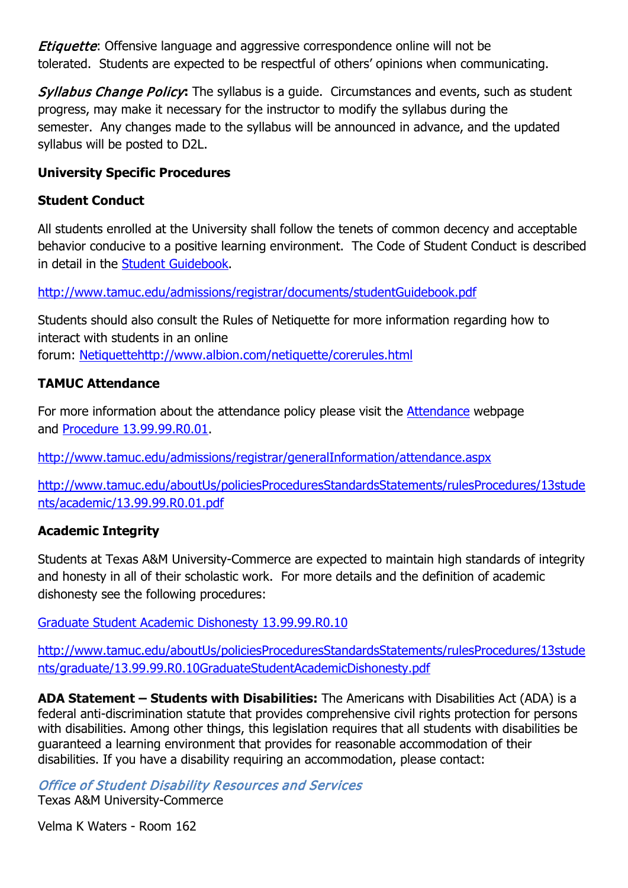**Etiquette:** Offensive language and aggressive correspondence online will not be tolerated. Students are expected to be respectful of others' opinions when communicating.

Syllabus Change Policy**:** The syllabus is a guide. Circumstances and events, such as student progress, may make it necessary for the instructor to modify the syllabus during the semester. Any changes made to the syllabus will be announced in advance, and the updated syllabus will be posted to D2L.

## **University Specific Procedures**

### **Student Conduct**

All students enrolled at the University shall follow the tenets of common decency and acceptable behavior conducive to a positive learning environment. The Code of Student Conduct is described in detail in the [Student Guidebook.](http://www.tamuc.edu/admissions/registrar/documents/studentGuidebook.pdf)

<http://www.tamuc.edu/admissions/registrar/documents/studentGuidebook.pdf>

Students should also consult the Rules of Netiquette for more information regarding how to interact with students in an online forum: [Netiquettehttp://www.albion.com/netiquette/corerules.html](http://www.albion.com/netiquette/corerules.html)

# **TAMUC Attendance**

For more information about the attendance policy please visit the [Attendance](http://www.tamuc.edu/admissions/registrar/generalInformation/attendance.aspx) webpage and [Procedure 13.99.99.R0.01.](http://www.tamuc.edu/aboutUs/policiesProceduresStandardsStatements/rulesProcedures/13students/academic/13.99.99.R0.01.pdf)

<http://www.tamuc.edu/admissions/registrar/generalInformation/attendance.aspx>

[http://www.tamuc.edu/aboutUs/policiesProceduresStandardsStatements/rulesProcedures/13stude](http://www.tamuc.edu/aboutUs/policiesProceduresStandardsStatements/rulesProcedures/13students/academic/13.99.99.R0.01.pdf) [nts/academic/13.99.99.R0.01.pdf](http://www.tamuc.edu/aboutUs/policiesProceduresStandardsStatements/rulesProcedures/13students/academic/13.99.99.R0.01.pdf)

# **Academic Integrity**

Students at Texas A&M University-Commerce are expected to maintain high standards of integrity and honesty in all of their scholastic work. For more details and the definition of academic dishonesty see the following procedures:

[Graduate Student Academic Dishonesty 13.99.99.R0.10](http://www.tamuc.edu/aboutUs/policiesProceduresStandardsStatements/rulesProcedures/13students/graduate/13.99.99.R0.10GraduateStudentAcademicDishonesty.pdf)

[http://www.tamuc.edu/aboutUs/policiesProceduresStandardsStatements/rulesProcedures/13stude](http://www.tamuc.edu/aboutUs/policiesProceduresStandardsStatements/rulesProcedures/13students/graduate/13.99.99.R0.10GraduateStudentAcademicDishonesty.pdf) [nts/graduate/13.99.99.R0.10GraduateStudentAcademicDishonesty.pdf](http://www.tamuc.edu/aboutUs/policiesProceduresStandardsStatements/rulesProcedures/13students/graduate/13.99.99.R0.10GraduateStudentAcademicDishonesty.pdf)

**ADA Statement – Students with Disabilities:** The Americans with Disabilities Act (ADA) is a federal anti-discrimination statute that provides comprehensive civil rights protection for persons with disabilities. Among other things, this legislation requires that all students with disabilities be guaranteed a learning environment that provides for reasonable accommodation of their disabilities. If you have a disability requiring an accommodation, please contact:

Office of Student Disability Resources and Services Texas A&M University-Commerce

Velma K Waters - Room 162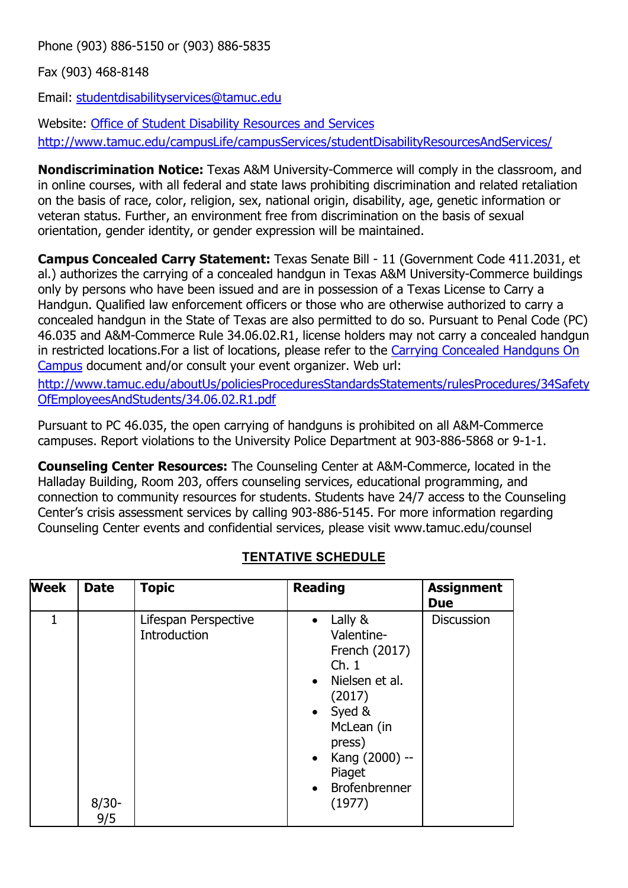Phone (903) 886-5150 or (903) 886-5835

Fax (903) 468-8148

Email: [studentdisabilityservices@tamuc.edu](mailto:studentdisabilityservices@tamuc.edu)

Website: [Office of Student Disability Resources and Services](http://www.tamuc.edu/campusLife/campusServices/studentDisabilityResourcesAndServices/) <http://www.tamuc.edu/campusLife/campusServices/studentDisabilityResourcesAndServices/>

**Nondiscrimination Notice:** Texas A&M University-Commerce will comply in the classroom, and in online courses, with all federal and state laws prohibiting discrimination and related retaliation on the basis of race, color, religion, sex, national origin, disability, age, genetic information or veteran status. Further, an environment free from discrimination on the basis of sexual orientation, gender identity, or gender expression will be maintained.

**Campus Concealed Carry Statement:** Texas Senate Bill - 11 (Government Code 411.2031, et al.) authorizes the carrying of a concealed handgun in Texas A&M University-Commerce buildings only by persons who have been issued and are in possession of a Texas License to Carry a Handgun. Qualified law enforcement officers or those who are otherwise authorized to carry a concealed handgun in the State of Texas are also permitted to do so. Pursuant to Penal Code (PC) 46.035 and A&M-Commerce Rule 34.06.02.R1, license holders may not carry a concealed handgun in restricted locations.For a list of locations, please refer to the [Carrying Concealed Handguns On](http://www.tamuc.edu/aboutUs/policiesProceduresStandardsStatements/rulesProcedures/34SafetyOfEmployeesAndStudents/34.06.02.R1.pdf)  [Campus](http://www.tamuc.edu/aboutUs/policiesProceduresStandardsStatements/rulesProcedures/34SafetyOfEmployeesAndStudents/34.06.02.R1.pdf) document and/or consult your event organizer. Web url:

[http://www.tamuc.edu/aboutUs/policiesProceduresStandardsStatements/rulesProcedures/34Safety](http://www.tamuc.edu/aboutUs/policiesProceduresStandardsStatements/rulesProcedures/34SafetyOfEmployeesAndStudents/34.06.02.R1.pdf) [OfEmployeesAndStudents/34.06.02.R1.pdf](http://www.tamuc.edu/aboutUs/policiesProceduresStandardsStatements/rulesProcedures/34SafetyOfEmployeesAndStudents/34.06.02.R1.pdf)

Pursuant to PC 46.035, the open carrying of handguns is prohibited on all A&M-Commerce campuses. Report violations to the University Police Department at 903-886-5868 or 9-1-1.

**Counseling Center Resources:** The Counseling Center at A&M-Commerce, located in the Halladay Building, Room 203, offers counseling services, educational programming, and connection to community resources for students. Students have 24/7 access to the Counseling Center's crisis assessment services by calling 903-886-5145. For more information regarding Counseling Center events and confidential services, please visit www.tamuc.edu/counsel

| <b>Week</b> | <b>Date</b>     | <b>Topic</b>                         | <b>Reading</b>                                                                                                                                                                                                       | <b>Assignment</b><br><b>Due</b> |
|-------------|-----------------|--------------------------------------|----------------------------------------------------------------------------------------------------------------------------------------------------------------------------------------------------------------------|---------------------------------|
| 1           | $8/30 -$<br>9/5 | Lifespan Perspective<br>Introduction | Lally &<br>$\bullet$<br>Valentine-<br>French (2017)<br>Ch.1<br>Nielsen et al.<br>(2017)<br>$\bullet$ Syed &<br>McLean (in<br>press)<br>Kang (2000) --<br>$\bullet$<br>Piaget<br>Brofenbrenner<br>$\bullet$<br>(1977) | <b>Discussion</b>               |

# **TENTATIVE SCHEDULE**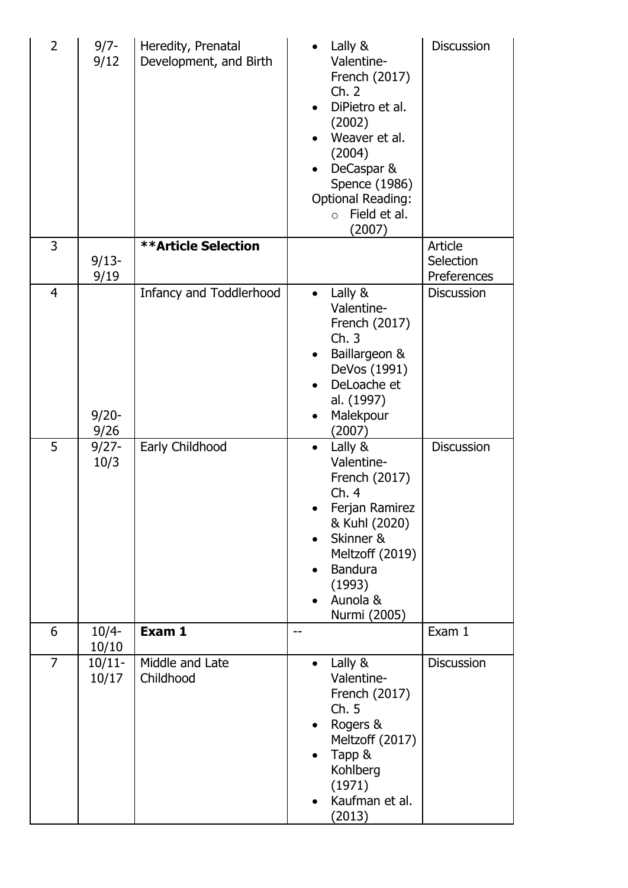| $\overline{2}$ | $9/7 -$<br>9/12    | Heredity, Prenatal<br>Development, and Birth | Lally &<br>Valentine-<br>French (2017)<br>Ch. 2<br>DiPietro et al.<br>(2002)<br>Weaver et al.<br>(2004)<br>DeCaspar &<br>Spence (1986)<br><b>Optional Reading:</b><br>Field et al.<br>$\circ$<br>(2007) | <b>Discussion</b>                   |
|----------------|--------------------|----------------------------------------------|---------------------------------------------------------------------------------------------------------------------------------------------------------------------------------------------------------|-------------------------------------|
| 3              | $9/13-$<br>9/19    | <b>**Article Selection</b>                   |                                                                                                                                                                                                         | Article<br>Selection<br>Preferences |
| $\overline{4}$ | $9/20 -$<br>9/26   | <b>Infancy and Toddlerhood</b>               | Lally &<br>$\bullet$<br>Valentine-<br>French (2017)<br>Ch.3<br>Baillargeon &<br>DeVos (1991)<br>DeLoache et<br>al. (1997)<br>Malekpour<br>(2007)                                                        | <b>Discussion</b>                   |
| 5              | $9/27 -$<br>10/3   | Early Childhood                              | Lally &<br>$\bullet$<br>Valentine-<br>French (2017)<br>Ch. 4<br>Ferjan Ramirez<br>& Kuhl (2020)<br>Skinner &<br>$\bullet$<br>Meltzoff (2019)<br><b>Bandura</b><br>(1993)<br>Aunola &<br>Nurmi (2005)    | <b>Discussion</b>                   |
| 6              | $10/4-$<br>10/10   | Exam 1                                       | $\qquad \qquad -$                                                                                                                                                                                       | Exam 1                              |
| $\overline{7}$ | $10/11 -$<br>10/17 | Middle and Late<br>Childhood                 | Lally &<br>$\bullet$<br>Valentine-<br>French (2017)<br>Ch. 5<br>Rogers &<br>Meltzoff (2017)<br>Tapp &<br>Kohlberg<br>(1971)<br>Kaufman et al.<br>(2013)                                                 | <b>Discussion</b>                   |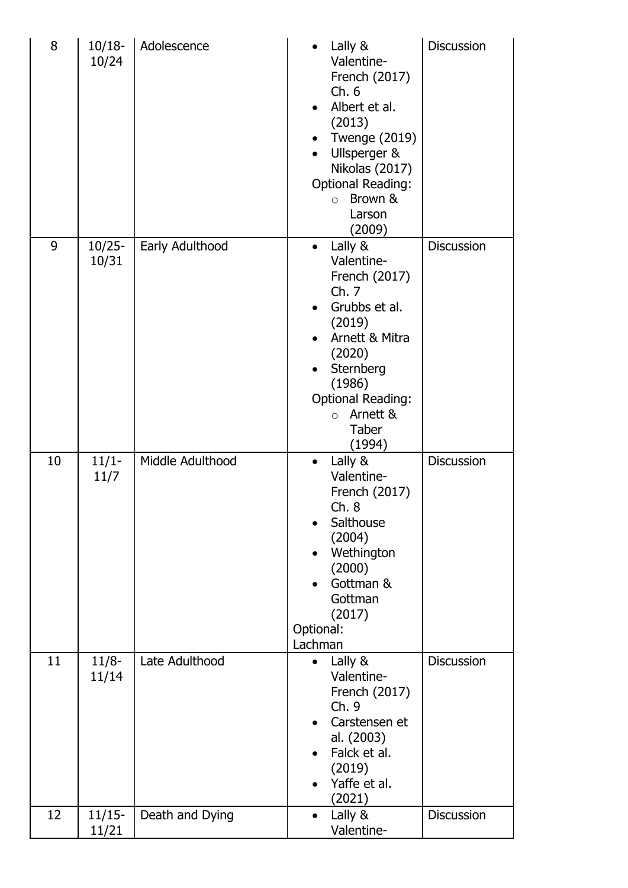| 8  | $10/18-$<br>10/24  | Adolescence      | Lally &<br>Valentine-<br>French (2017)<br>Ch.6<br>Albert et al.<br>(2013)<br><b>Twenge (2019)</b><br>Ullsperger &<br>Nikolas (2017)<br><b>Optional Reading:</b><br>$\circ$ Brown &<br>Larson<br>(2009)                 | <b>Discussion</b> |
|----|--------------------|------------------|------------------------------------------------------------------------------------------------------------------------------------------------------------------------------------------------------------------------|-------------------|
| 9  | $10/25 -$<br>10/31 | Early Adulthood  | Lally &<br>$\bullet$<br>Valentine-<br>French (2017)<br>Ch.7<br>Grubbs et al.<br>(2019)<br>Arnett & Mitra<br>(2020)<br>Sternberg<br>(1986)<br><b>Optional Reading:</b><br>Arnett &<br>$\circ$<br><b>Taber</b><br>(1994) | <b>Discussion</b> |
| 10 | $11/1-$<br>11/7    | Middle Adulthood | Lally &<br>$\bullet$<br>Valentine-<br>French (2017)<br>Ch.8<br>Salthouse<br>(2004)<br>Wethington<br>(2000)<br>Gottman &<br>Gottman<br>(2017)<br>Optional:<br>Lachman                                                   | Discussion        |
| 11 | $11/8-$<br>11/14   | Late Adulthood   | Lally &<br>$\bullet$<br>Valentine-<br>French (2017)<br>Ch. 9<br>Carstensen et<br>al. (2003)<br>Falck et al.<br>(2019)<br>Yaffe et al.<br>(2021)                                                                        | <b>Discussion</b> |
| 12 | $11/15-$<br>11/21  | Death and Dying  | Lally &<br>$\bullet$<br>Valentine-                                                                                                                                                                                     | Discussion        |